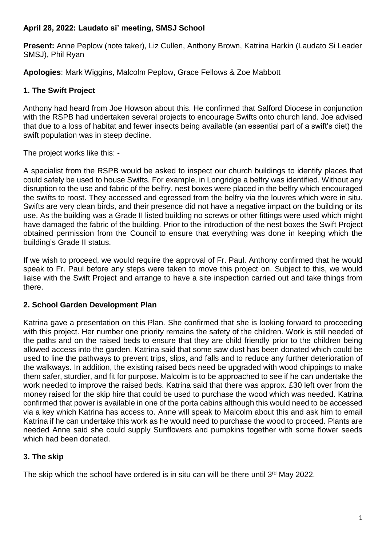### **April 28, 2022: Laudato si' meeting, SMSJ School**

**Present:** Anne Peplow (note taker), Liz Cullen, Anthony Brown, Katrina Harkin (Laudato Si Leader SMSJ), Phil Ryan

**Apologies**: Mark Wiggins, Malcolm Peplow, Grace Fellows & Zoe Mabbott

### **1. The Swift Project**

Anthony had heard from Joe Howson about this. He confirmed that Salford Diocese in conjunction with the RSPB had undertaken several projects to encourage Swifts onto church land. Joe advised that due to a loss of habitat and fewer insects being available (an essential part of a swift's diet) the swift population was in steep decline.

The project works like this: -

A specialist from the RSPB would be asked to inspect our church buildings to identify places that could safely be used to house Swifts. For example, in Longridge a belfry was identified. Without any disruption to the use and fabric of the belfry, nest boxes were placed in the belfry which encouraged the swifts to roost. They accessed and egressed from the belfry via the louvres which were in situ. Swifts are very clean birds, and their presence did not have a negative impact on the building or its use. As the building was a Grade II listed building no screws or other fittings were used which might have damaged the fabric of the building. Prior to the introduction of the nest boxes the Swift Project obtained permission from the Council to ensure that everything was done in keeping which the building's Grade II status.

If we wish to proceed, we would require the approval of Fr. Paul. Anthony confirmed that he would speak to Fr. Paul before any steps were taken to move this project on. Subject to this, we would liaise with the Swift Project and arrange to have a site inspection carried out and take things from there.

# **2. School Garden Development Plan**

Katrina gave a presentation on this Plan. She confirmed that she is looking forward to proceeding with this project. Her number one priority remains the safety of the children. Work is still needed of the paths and on the raised beds to ensure that they are child friendly prior to the children being allowed access into the garden. Katrina said that some saw dust has been donated which could be used to line the pathways to prevent trips, slips, and falls and to reduce any further deterioration of the walkways. In addition, the existing raised beds need be upgraded with wood chippings to make them safer, sturdier, and fit for purpose. Malcolm is to be approached to see if he can undertake the work needed to improve the raised beds. Katrina said that there was approx. £30 left over from the money raised for the skip hire that could be used to purchase the wood which was needed. Katrina confirmed that power is available in one of the porta cabins although this would need to be accessed via a key which Katrina has access to. Anne will speak to Malcolm about this and ask him to email Katrina if he can undertake this work as he would need to purchase the wood to proceed. Plants are needed Anne said she could supply Sunflowers and pumpkins together with some flower seeds which had been donated.

# **3. The skip**

The skip which the school have ordered is in situ can will be there until 3<sup>rd</sup> May 2022.